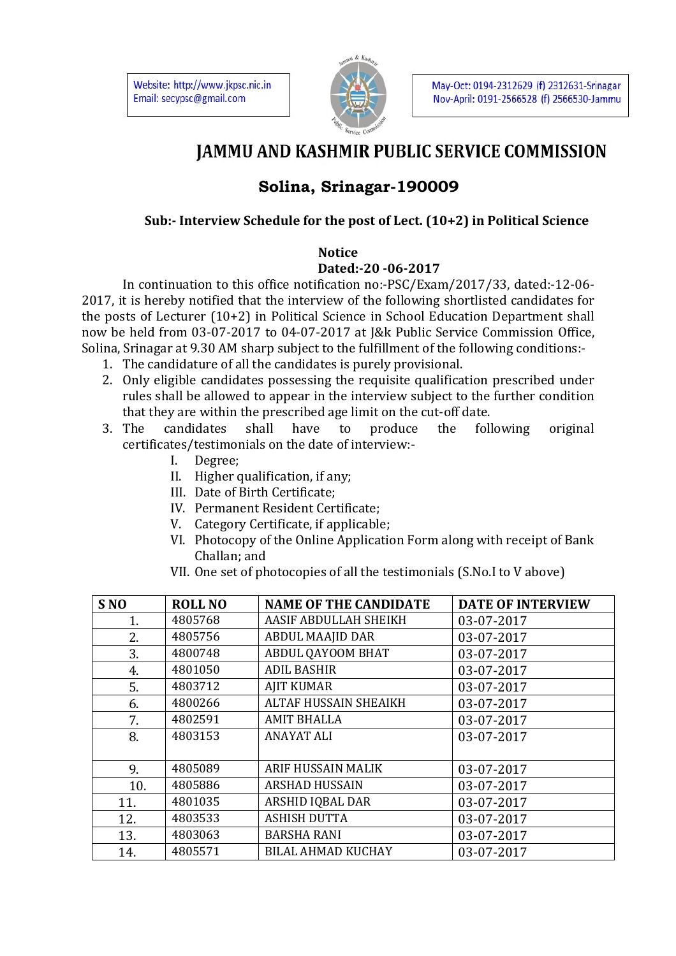Website: http://www.jkpsc.nic.in Email: secypsc@gmail.com



May-Oct: 0194-2312629 (f) 2312631-Srinagar Nov-April: 0191-2566528 (f) 2566530-Jammu

# **JAMMU AND KASHMIR PUBLIC SERVICE COMMISSION**

## **Solina, Srinagar-190009**

### **Sub:- Interview Schedule for the post of Lect. (10+2) in Political Science**

#### **Notice**

#### **Dated:-20 -06-2017**

 In continuation to this office notification no:-PSC/Exam/2017/33, dated:-12-06- 2017, it is hereby notified that the interview of the following shortlisted candidates for the posts of Lecturer (10+2) in Political Science in School Education Department shall now be held from 03-07-2017 to 04-07-2017 at J&k Public Service Commission Office, Solina, Srinagar at 9.30 AM sharp subject to the fulfillment of the following conditions:-

- 1. The candidature of all the candidates is purely provisional.
- 2. Only eligible candidates possessing the requisite qualification prescribed under rules shall be allowed to appear in the interview subject to the further condition that they are within the prescribed age limit on the cut-off date.
- 3. The candidates shall have to produce the following original certificates/testimonials on the date of interview:-
	- I. Degree;
	- II. Higher qualification, if any;
	- III. Date of Birth Certificate;
	- IV. Permanent Resident Certificate;
	- V. Category Certificate, if applicable;
	- VI. Photocopy of the Online Application Form along with receipt of Bank Challan; and
	- VII. One set of photocopies of all the testimonials (S.No.I to V above)

| S <sub>NO</sub> | <b>ROLL NO</b> | <b>NAME OF THE CANDIDATE</b> | <b>DATE OF INTERVIEW</b> |
|-----------------|----------------|------------------------------|--------------------------|
| 1.              | 4805768        | AASIF ABDULLAH SHEIKH        | 03-07-2017               |
| 2.              | 4805756        | <b>ABDUL MAAJID DAR</b>      | 03-07-2017               |
| 3.              | 4800748        | ABDUL QAYOOM BHAT            | 03-07-2017               |
| 4.              | 4801050        | <b>ADIL BASHIR</b>           | 03-07-2017               |
| 5.              | 4803712        | <b>AJIT KUMAR</b>            | 03-07-2017               |
| 6.              | 4800266        | <b>ALTAF HUSSAIN SHEAIKH</b> | 03-07-2017               |
| 7.              | 4802591        | <b>AMIT BHALLA</b>           | 03-07-2017               |
| 8.              | 4803153        | <b>ANAYAT ALI</b>            | 03-07-2017               |
|                 |                |                              |                          |
| 9.              | 4805089        | <b>ARIF HUSSAIN MALIK</b>    | 03-07-2017               |
| 10.             | 4805886        | <b>ARSHAD HUSSAIN</b>        | 03-07-2017               |
| 11.             | 4801035        | ARSHID IQBAL DAR             | 03-07-2017               |
| 12.             | 4803533        | <b>ASHISH DUTTA</b>          | 03-07-2017               |
| 13.             | 4803063        | <b>BARSHA RANI</b>           | 03-07-2017               |
| 14.             | 4805571        | <b>BILAL AHMAD KUCHAY</b>    | 03-07-2017               |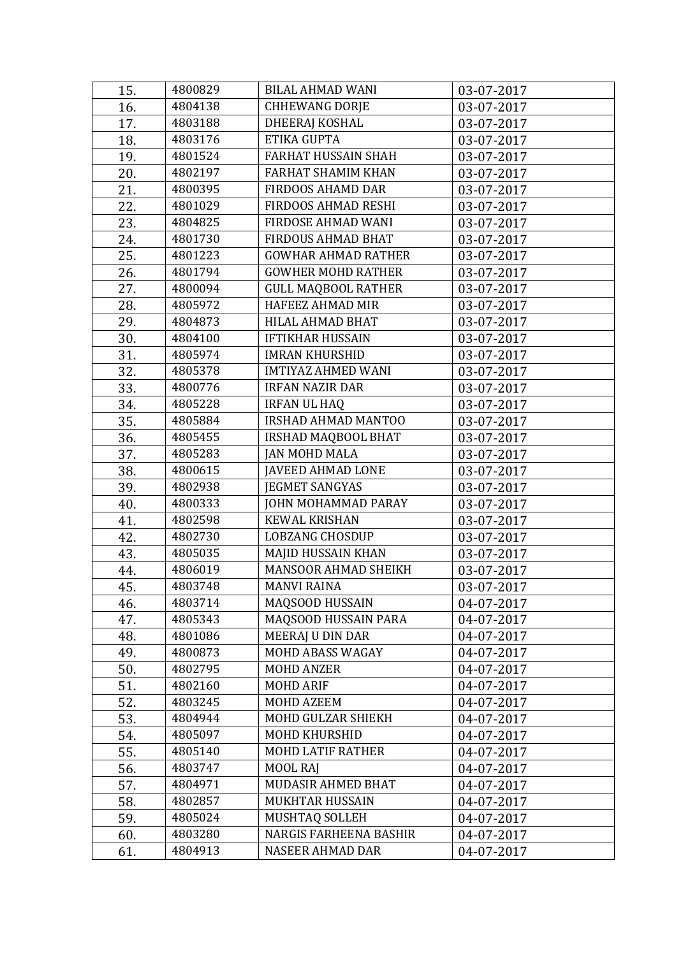| 15. | 4800829 | <b>BILAL AHMAD WANI</b>       | 03-07-2017 |
|-----|---------|-------------------------------|------------|
| 16. | 4804138 | <b>CHHEWANG DORJE</b>         | 03-07-2017 |
| 17. | 4803188 | DHEERAJ KOSHAL                | 03-07-2017 |
| 18. | 4803176 | ETIKA GUPTA                   | 03-07-2017 |
| 19. | 4801524 | <b>FARHAT HUSSAIN SHAH</b>    | 03-07-2017 |
| 20. | 4802197 | FARHAT SHAMIM KHAN            | 03-07-2017 |
| 21. | 4800395 | <b>FIRDOOS AHAMD DAR</b>      | 03-07-2017 |
| 22. | 4801029 | FIRDOOS AHMAD RESHI           | 03-07-2017 |
| 23. | 4804825 | FIRDOSE AHMAD WANI            | 03-07-2017 |
| 24. | 4801730 | <b>FIRDOUS AHMAD BHAT</b>     | 03-07-2017 |
| 25. | 4801223 | <b>GOWHAR AHMAD RATHER</b>    | 03-07-2017 |
| 26. | 4801794 | <b>GOWHER MOHD RATHER</b>     | 03-07-2017 |
| 27. | 4800094 | <b>GULL MAQBOOL RATHER</b>    | 03-07-2017 |
| 28. | 4805972 | HAFEEZ AHMAD MIR              | 03-07-2017 |
| 29. | 4804873 | HILAL AHMAD BHAT              | 03-07-2017 |
| 30. | 4804100 | <b>IFTIKHAR HUSSAIN</b>       | 03-07-2017 |
| 31. | 4805974 | <b>IMRAN KHURSHID</b>         | 03-07-2017 |
| 32. | 4805378 | <b>IMTIYAZ AHMED WANI</b>     | 03-07-2017 |
| 33. | 4800776 | <b>IRFAN NAZIR DAR</b>        | 03-07-2017 |
| 34. | 4805228 | <b>IRFAN UL HAQ</b>           | 03-07-2017 |
| 35. | 4805884 | IRSHAD AHMAD MANTOO           | 03-07-2017 |
| 36. | 4805455 | IRSHAD MAQBOOL BHAT           | 03-07-2017 |
| 37. | 4805283 | <b>JAN MOHD MALA</b>          | 03-07-2017 |
| 38. | 4800615 | <b>JAVEED AHMAD LONE</b>      | 03-07-2017 |
| 39. | 4802938 | <b>JEGMET SANGYAS</b>         | 03-07-2017 |
| 40. | 4800333 | JOHN MOHAMMAD PARAY           | 03-07-2017 |
| 41. | 4802598 | <b>KEWAL KRISHAN</b>          | 03-07-2017 |
| 42. | 4802730 | <b>LOBZANG CHOSDUP</b>        | 03-07-2017 |
| 43. | 4805035 | MAJID HUSSAIN KHAN            | 03-07-2017 |
| 44. | 4806019 | <b>MANSOOR AHMAD SHEIKH</b>   | 03-07-2017 |
| 45. | 4803748 | <b>MANVI RAINA</b>            | 03-07-2017 |
| 46. | 4803714 | MAQSOOD HUSSAIN               | 04-07-2017 |
| 47. | 4805343 | MAQSOOD HUSSAIN PARA          | 04-07-2017 |
| 48. | 4801086 | MEERAJ U DIN DAR              | 04-07-2017 |
| 49. | 4800873 | MOHD ABASS WAGAY              | 04-07-2017 |
| 50. | 4802795 | <b>MOHD ANZER</b>             | 04-07-2017 |
| 51. | 4802160 | <b>MOHD ARIF</b>              | 04-07-2017 |
| 52. | 4803245 | <b>MOHD AZEEM</b>             | 04-07-2017 |
| 53. | 4804944 | MOHD GULZAR SHIEKH            | 04-07-2017 |
| 54. | 4805097 | <b>MOHD KHURSHID</b>          | 04-07-2017 |
| 55. | 4805140 | <b>MOHD LATIF RATHER</b>      | 04-07-2017 |
| 56. | 4803747 | MOOL RAJ                      | 04-07-2017 |
| 57. | 4804971 | MUDASIR AHMED BHAT            | 04-07-2017 |
| 58. | 4802857 | MUKHTAR HUSSAIN               | 04-07-2017 |
| 59. | 4805024 | MUSHTAQ SOLLEH                | 04-07-2017 |
| 60. | 4803280 | <b>NARGIS FARHEENA BASHIR</b> | 04-07-2017 |
| 61. | 4804913 | NASEER AHMAD DAR              | 04-07-2017 |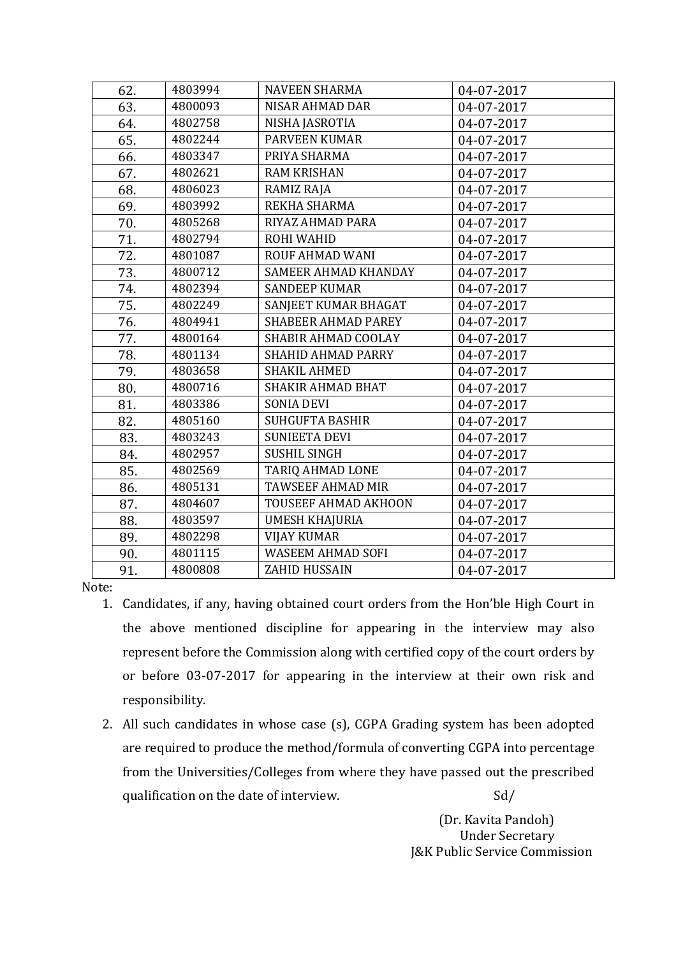| 4803994<br><b>NAVEEN SHARMA</b><br>62.<br>04-07-2017<br>4800093<br><b>NISAR AHMAD DAR</b><br>63.<br>04-07-2017<br>4802758<br>NISHA JASROTIA<br>64.<br>04-07-2017<br>4802244<br><b>PARVEEN KUMAR</b><br>65.<br>04-07-2017<br>66.<br>4803347<br>PRIYA SHARMA<br>04-07-2017<br>4802621<br><b>RAM KRISHAN</b><br>67.<br>04-07-2017<br>4806023<br>68.<br>RAMIZ RAJA<br>04-07-2017<br>4803992<br>REKHA SHARMA<br>69.<br>04-07-2017<br>4805268<br>RIYAZ AHMAD PARA<br>70.<br>04-07-2017<br>4802794<br>ROHI WAHID<br>71.<br>04-07-2017<br>72.<br>4801087<br><b>ROUF AHMAD WANI</b><br>04-07-2017<br>73.<br>4800712<br>SAMEER AHMAD KHANDAY<br>04-07-2017<br>74.<br>4802394<br><b>SANDEEP KUMAR</b><br>04-07-2017<br>75.<br>SANJEET KUMAR BHAGAT<br>4802249<br>04-07-2017<br><b>SHABEER AHMAD PAREY</b><br>4804941<br>76.<br>04-07-2017<br>4800164<br>SHABIR AHMAD COOLAY<br>77.<br>04-07-2017<br>78.<br>4801134<br><b>SHAHID AHMAD PARRY</b><br>04-07-2017<br>79.<br>4803658<br><b>SHAKIL AHMED</b><br>04-07-2017<br>80.<br>4800716<br><b>SHAKIR AHMAD BHAT</b><br>04-07-2017<br>81.<br>4803386<br><b>SONIA DEVI</b><br>04-07-2017<br>4805160<br><b>SUHGUFTA BASHIR</b><br>82.<br>04-07-2017<br><b>SUNIEETA DEVI</b><br>83.<br>4803243<br>04-07-2017<br><b>SUSHIL SINGH</b><br>4802957<br>84.<br>04-07-2017<br>TARIQ AHMAD LONE<br>85.<br>4802569<br>04-07-2017<br><b>TAWSEEF AHMAD MIR</b><br>4805131<br>86.<br>04-07-2017<br>TOUSEEF AHMAD AKHOON<br>87.<br>4804607<br>04-07-2017<br><b>UMESH KHAJURIA</b><br>88.<br>4803597<br>04-07-2017<br>4802298<br><b>VIJAY KUMAR</b><br>89.<br>04-07-2017<br><b>WASEEM AHMAD SOFI</b><br>4801115<br>90.<br>04-07-2017<br>ZAHID HUSSAIN<br>4800808<br>91.<br>04-07-2017 |  |  |
|---------------------------------------------------------------------------------------------------------------------------------------------------------------------------------------------------------------------------------------------------------------------------------------------------------------------------------------------------------------------------------------------------------------------------------------------------------------------------------------------------------------------------------------------------------------------------------------------------------------------------------------------------------------------------------------------------------------------------------------------------------------------------------------------------------------------------------------------------------------------------------------------------------------------------------------------------------------------------------------------------------------------------------------------------------------------------------------------------------------------------------------------------------------------------------------------------------------------------------------------------------------------------------------------------------------------------------------------------------------------------------------------------------------------------------------------------------------------------------------------------------------------------------------------------------------------------------------------------------------------------------------------------------------------------------------------------------|--|--|
|                                                                                                                                                                                                                                                                                                                                                                                                                                                                                                                                                                                                                                                                                                                                                                                                                                                                                                                                                                                                                                                                                                                                                                                                                                                                                                                                                                                                                                                                                                                                                                                                                                                                                                         |  |  |
|                                                                                                                                                                                                                                                                                                                                                                                                                                                                                                                                                                                                                                                                                                                                                                                                                                                                                                                                                                                                                                                                                                                                                                                                                                                                                                                                                                                                                                                                                                                                                                                                                                                                                                         |  |  |
|                                                                                                                                                                                                                                                                                                                                                                                                                                                                                                                                                                                                                                                                                                                                                                                                                                                                                                                                                                                                                                                                                                                                                                                                                                                                                                                                                                                                                                                                                                                                                                                                                                                                                                         |  |  |
|                                                                                                                                                                                                                                                                                                                                                                                                                                                                                                                                                                                                                                                                                                                                                                                                                                                                                                                                                                                                                                                                                                                                                                                                                                                                                                                                                                                                                                                                                                                                                                                                                                                                                                         |  |  |
|                                                                                                                                                                                                                                                                                                                                                                                                                                                                                                                                                                                                                                                                                                                                                                                                                                                                                                                                                                                                                                                                                                                                                                                                                                                                                                                                                                                                                                                                                                                                                                                                                                                                                                         |  |  |
|                                                                                                                                                                                                                                                                                                                                                                                                                                                                                                                                                                                                                                                                                                                                                                                                                                                                                                                                                                                                                                                                                                                                                                                                                                                                                                                                                                                                                                                                                                                                                                                                                                                                                                         |  |  |
|                                                                                                                                                                                                                                                                                                                                                                                                                                                                                                                                                                                                                                                                                                                                                                                                                                                                                                                                                                                                                                                                                                                                                                                                                                                                                                                                                                                                                                                                                                                                                                                                                                                                                                         |  |  |
|                                                                                                                                                                                                                                                                                                                                                                                                                                                                                                                                                                                                                                                                                                                                                                                                                                                                                                                                                                                                                                                                                                                                                                                                                                                                                                                                                                                                                                                                                                                                                                                                                                                                                                         |  |  |
|                                                                                                                                                                                                                                                                                                                                                                                                                                                                                                                                                                                                                                                                                                                                                                                                                                                                                                                                                                                                                                                                                                                                                                                                                                                                                                                                                                                                                                                                                                                                                                                                                                                                                                         |  |  |
|                                                                                                                                                                                                                                                                                                                                                                                                                                                                                                                                                                                                                                                                                                                                                                                                                                                                                                                                                                                                                                                                                                                                                                                                                                                                                                                                                                                                                                                                                                                                                                                                                                                                                                         |  |  |
|                                                                                                                                                                                                                                                                                                                                                                                                                                                                                                                                                                                                                                                                                                                                                                                                                                                                                                                                                                                                                                                                                                                                                                                                                                                                                                                                                                                                                                                                                                                                                                                                                                                                                                         |  |  |
|                                                                                                                                                                                                                                                                                                                                                                                                                                                                                                                                                                                                                                                                                                                                                                                                                                                                                                                                                                                                                                                                                                                                                                                                                                                                                                                                                                                                                                                                                                                                                                                                                                                                                                         |  |  |
|                                                                                                                                                                                                                                                                                                                                                                                                                                                                                                                                                                                                                                                                                                                                                                                                                                                                                                                                                                                                                                                                                                                                                                                                                                                                                                                                                                                                                                                                                                                                                                                                                                                                                                         |  |  |
|                                                                                                                                                                                                                                                                                                                                                                                                                                                                                                                                                                                                                                                                                                                                                                                                                                                                                                                                                                                                                                                                                                                                                                                                                                                                                                                                                                                                                                                                                                                                                                                                                                                                                                         |  |  |
|                                                                                                                                                                                                                                                                                                                                                                                                                                                                                                                                                                                                                                                                                                                                                                                                                                                                                                                                                                                                                                                                                                                                                                                                                                                                                                                                                                                                                                                                                                                                                                                                                                                                                                         |  |  |
|                                                                                                                                                                                                                                                                                                                                                                                                                                                                                                                                                                                                                                                                                                                                                                                                                                                                                                                                                                                                                                                                                                                                                                                                                                                                                                                                                                                                                                                                                                                                                                                                                                                                                                         |  |  |
|                                                                                                                                                                                                                                                                                                                                                                                                                                                                                                                                                                                                                                                                                                                                                                                                                                                                                                                                                                                                                                                                                                                                                                                                                                                                                                                                                                                                                                                                                                                                                                                                                                                                                                         |  |  |
|                                                                                                                                                                                                                                                                                                                                                                                                                                                                                                                                                                                                                                                                                                                                                                                                                                                                                                                                                                                                                                                                                                                                                                                                                                                                                                                                                                                                                                                                                                                                                                                                                                                                                                         |  |  |
|                                                                                                                                                                                                                                                                                                                                                                                                                                                                                                                                                                                                                                                                                                                                                                                                                                                                                                                                                                                                                                                                                                                                                                                                                                                                                                                                                                                                                                                                                                                                                                                                                                                                                                         |  |  |
|                                                                                                                                                                                                                                                                                                                                                                                                                                                                                                                                                                                                                                                                                                                                                                                                                                                                                                                                                                                                                                                                                                                                                                                                                                                                                                                                                                                                                                                                                                                                                                                                                                                                                                         |  |  |
|                                                                                                                                                                                                                                                                                                                                                                                                                                                                                                                                                                                                                                                                                                                                                                                                                                                                                                                                                                                                                                                                                                                                                                                                                                                                                                                                                                                                                                                                                                                                                                                                                                                                                                         |  |  |
|                                                                                                                                                                                                                                                                                                                                                                                                                                                                                                                                                                                                                                                                                                                                                                                                                                                                                                                                                                                                                                                                                                                                                                                                                                                                                                                                                                                                                                                                                                                                                                                                                                                                                                         |  |  |
|                                                                                                                                                                                                                                                                                                                                                                                                                                                                                                                                                                                                                                                                                                                                                                                                                                                                                                                                                                                                                                                                                                                                                                                                                                                                                                                                                                                                                                                                                                                                                                                                                                                                                                         |  |  |
|                                                                                                                                                                                                                                                                                                                                                                                                                                                                                                                                                                                                                                                                                                                                                                                                                                                                                                                                                                                                                                                                                                                                                                                                                                                                                                                                                                                                                                                                                                                                                                                                                                                                                                         |  |  |
|                                                                                                                                                                                                                                                                                                                                                                                                                                                                                                                                                                                                                                                                                                                                                                                                                                                                                                                                                                                                                                                                                                                                                                                                                                                                                                                                                                                                                                                                                                                                                                                                                                                                                                         |  |  |
|                                                                                                                                                                                                                                                                                                                                                                                                                                                                                                                                                                                                                                                                                                                                                                                                                                                                                                                                                                                                                                                                                                                                                                                                                                                                                                                                                                                                                                                                                                                                                                                                                                                                                                         |  |  |
|                                                                                                                                                                                                                                                                                                                                                                                                                                                                                                                                                                                                                                                                                                                                                                                                                                                                                                                                                                                                                                                                                                                                                                                                                                                                                                                                                                                                                                                                                                                                                                                                                                                                                                         |  |  |
|                                                                                                                                                                                                                                                                                                                                                                                                                                                                                                                                                                                                                                                                                                                                                                                                                                                                                                                                                                                                                                                                                                                                                                                                                                                                                                                                                                                                                                                                                                                                                                                                                                                                                                         |  |  |
|                                                                                                                                                                                                                                                                                                                                                                                                                                                                                                                                                                                                                                                                                                                                                                                                                                                                                                                                                                                                                                                                                                                                                                                                                                                                                                                                                                                                                                                                                                                                                                                                                                                                                                         |  |  |
|                                                                                                                                                                                                                                                                                                                                                                                                                                                                                                                                                                                                                                                                                                                                                                                                                                                                                                                                                                                                                                                                                                                                                                                                                                                                                                                                                                                                                                                                                                                                                                                                                                                                                                         |  |  |

Note:

- 1. Candidates, if any, having obtained court orders from the Hon'ble High Court in the above mentioned discipline for appearing in the interview may also represent before the Commission along with certified copy of the court orders by or before 03-07-2017 for appearing in the interview at their own risk and responsibility.
- 2. All such candidates in whose case (s), CGPA Grading system has been adopted are required to produce the method/formula of converting CGPA into percentage from the Universities/Colleges from where they have passed out the prescribed qualification on the date of interview. Sd/

 (Dr. Kavita Pandoh) Under Secretary J&K Public Service Commission